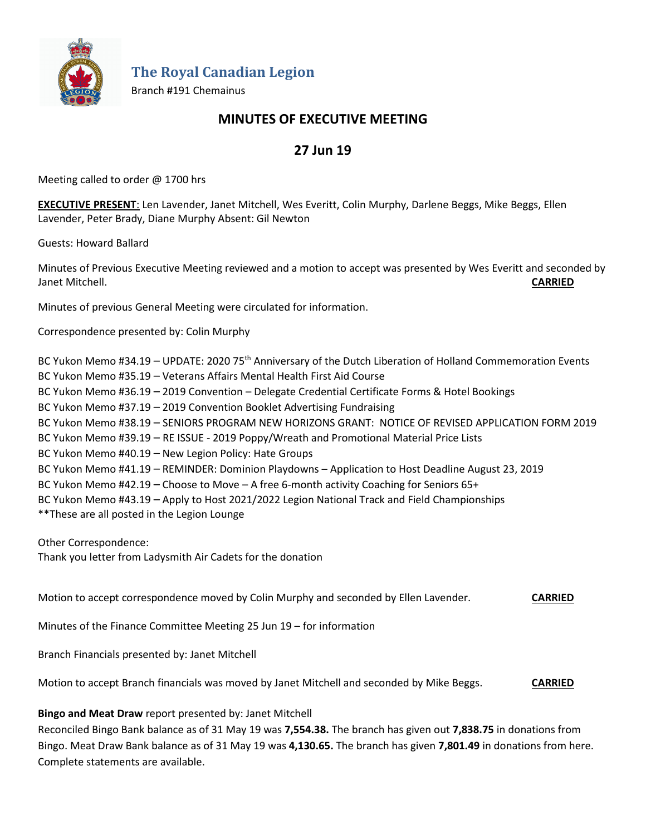

**The Royal Canadian Legion**

Branch #191 Chemainus

## **MINUTES OF EXECUTIVE MEETING**

# **27 Jun 19**

Meeting called to order @ 1700 hrs

**EXECUTIVE PRESENT**: Len Lavender, Janet Mitchell, Wes Everitt, Colin Murphy, Darlene Beggs, Mike Beggs, Ellen Lavender, Peter Brady, Diane Murphy Absent: Gil Newton

Guests: Howard Ballard

Minutes of Previous Executive Meeting reviewed and a motion to accept was presented by Wes Everitt and seconded by Janet Mitchell. **CARRIED**

Minutes of previous General Meeting were circulated for information.

Correspondence presented by: Colin Murphy

BC Yukon Memo #34.19 – UPDATE: 2020 75<sup>th</sup> Anniversary of the Dutch Liberation of Holland Commemoration Events BC Yukon Memo #35.19 – Veterans Affairs Mental Health First Aid Course BC Yukon Memo #36.19 – 2019 Convention – Delegate Credential Certificate Forms & Hotel Bookings BC Yukon Memo #37.19 – 2019 Convention Booklet Advertising Fundraising BC Yukon Memo #38.19 – SENIORS PROGRAM NEW HORIZONS GRANT: NOTICE OF REVISED APPLICATION FORM 2019 BC Yukon Memo #39.19 – RE ISSUE - 2019 Poppy/Wreath and Promotional Material Price Lists BC Yukon Memo #40.19 – New Legion Policy: Hate Groups BC Yukon Memo #41.19 – REMINDER: Dominion Playdowns – Application to Host Deadline August 23, 2019 BC Yukon Memo #42.19 – Choose to Move – A free 6-month activity Coaching for Seniors 65+ BC Yukon Memo #43.19 – Apply to Host 2021/2022 Legion National Track and Field Championships \*\*These are all posted in the Legion Lounge

Other Correspondence: Thank you letter from Ladysmith Air Cadets for the donation

Motion to accept correspondence moved by Colin Murphy and seconded by Ellen Lavender. **CARRIED**

Minutes of the Finance Committee Meeting 25 Jun 19 – for information

Branch Financials presented by: Janet Mitchell

Motion to accept Branch financials was moved by Janet Mitchell and seconded by Mike Beggs. **CARRIED**

**Bingo and Meat Draw** report presented by: Janet Mitchell

Reconciled Bingo Bank balance as of 31 May 19 was **7,554.38.** The branch has given out **7,838.75** in donations from Bingo. Meat Draw Bank balance as of 31 May 19 was **4,130.65.** The branch has given **7,801.49** in donations from here. Complete statements are available.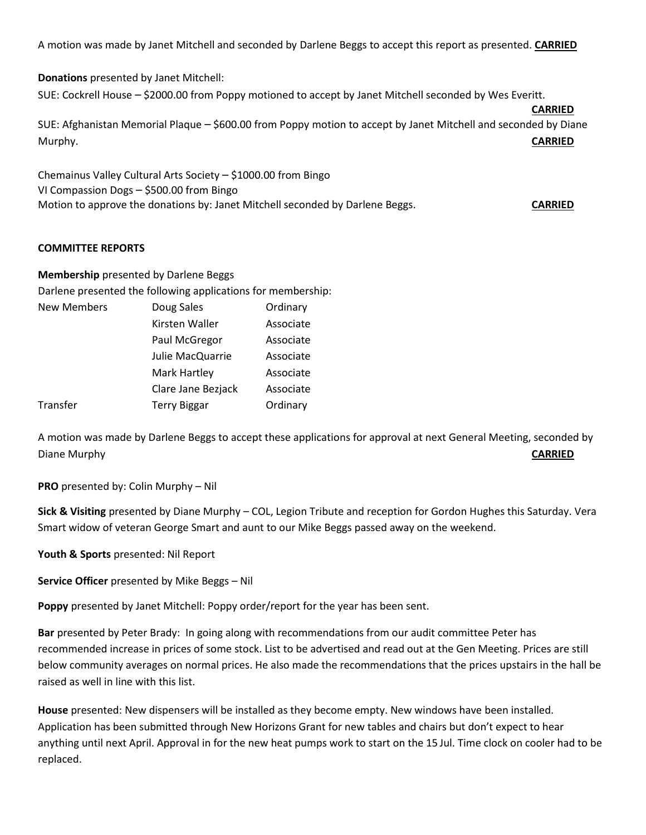A motion was made by Janet Mitchell and seconded by Darlene Beggs to accept this report as presented. **CARRIED**

**Donations** presented by Janet Mitchell: SUE: Cockrell House – \$2000.00 from Poppy motioned to accept by Janet Mitchell seconded by Wes Everitt. **CARRIED**

SUE: Afghanistan Memorial Plaque – \$600.00 from Poppy motion to accept by Janet Mitchell and seconded by Diane Murphy. **CARRIED**

Chemainus Valley Cultural Arts Society – \$1000.00 from Bingo VI Compassion Dogs – \$500.00 from Bingo Motion to approve the donations by: Janet Mitchell seconded by Darlene Beggs. **CARRIED**

#### **COMMITTEE REPORTS**

**Membership** presented by Darlene Beggs

Darlene presented the following applications for membership:

| Doug Sales          | Ordinary  |
|---------------------|-----------|
| Kirsten Waller      | Associate |
| Paul McGregor       | Associate |
| Julie MacQuarrie    | Associate |
| Mark Hartley        | Associate |
| Clare Jane Bezjack  | Associate |
| <b>Terry Biggar</b> | Ordinary  |
|                     |           |

A motion was made by Darlene Beggs to accept these applications for approval at next General Meeting, seconded by Diane Murphy **CARRIED**

**PRO** presented by: Colin Murphy – Nil

**Sick & Visiting** presented by Diane Murphy – COL, Legion Tribute and reception for Gordon Hughes this Saturday. Vera Smart widow of veteran George Smart and aunt to our Mike Beggs passed away on the weekend.

**Youth & Sports** presented: Nil Report

**Service Officer** presented by Mike Beggs – Nil

**Poppy** presented by Janet Mitchell: Poppy order/report for the year has been sent.

**Bar** presented by Peter Brady: In going along with recommendations from our audit committee Peter has recommended increase in prices of some stock. List to be advertised and read out at the Gen Meeting. Prices are still below community averages on normal prices. He also made the recommendations that the prices upstairs in the hall be raised as well in line with this list.

**House** presented: New dispensers will be installed as they become empty. New windows have been installed. Application has been submitted through New Horizons Grant for new tables and chairs but don't expect to hear anything until next April. Approval in for the new heat pumps work to start on the 15 Jul. Time clock on cooler had to be replaced.